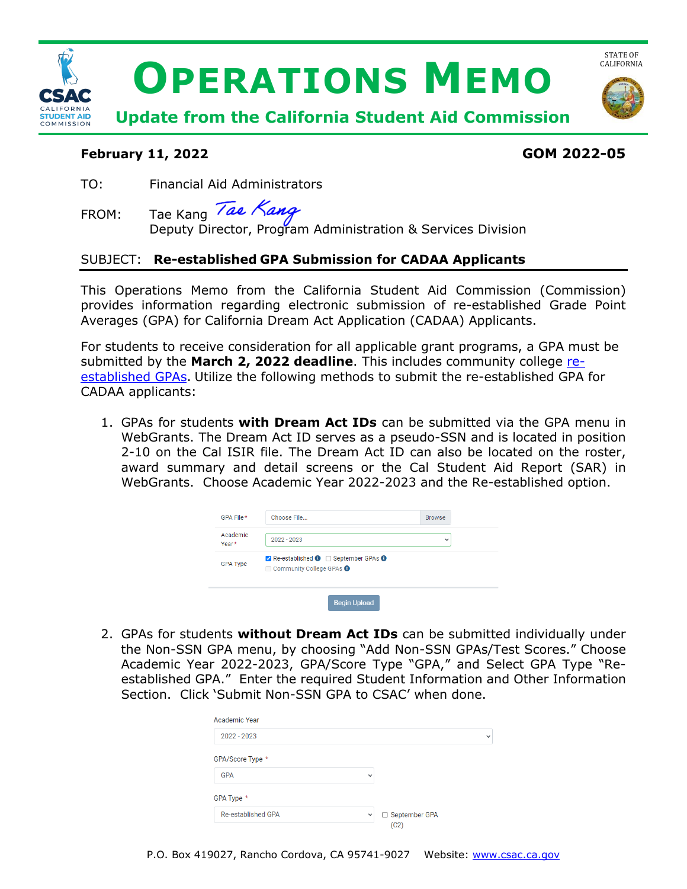

## **February 11, 2022 GOM 2022-05**

TO: Financial Aid Administrators

FROM: Tae Kang Deputy Director, Program Administration & Services Division

# SUBJECT: **Re-established GPA Submission for CADAA Applicants**

This Operations Memo from the California Student Aid Commission (Commission) provides information regarding electronic submission of re-established Grade Point Averages (GPA) for California Dream Act Application (CADAA) Applicants.

 submitted by the **March 2, 2022 deadline**. This includes community college [re-](https://www.csac.ca.gov/post/college-gpa-calculation)For students to receive consideration for all applicable grant programs, a GPA must be [established GPAs.](https://www.csac.ca.gov/post/college-gpa-calculation) Utilize the following methods to submit the re-established GPA for CADAA applicants:

 1. GPAs for students **with Dream Act IDs** can be submitted via the GPA menu in award summary and detail screens or the Cal Student Aid Report (SAR) in WebGrants. The Dream Act ID serves as a pseudo-SSN and is located in position 2-10 on the Cal ISIR file. The Dream Act ID can also be located on the roster, WebGrants. Choose Academic Year 2022-2023 and the Re-established option.

| GPA File *        | Choose File                                                                   | <b>Browse</b> |
|-------------------|-------------------------------------------------------------------------------|---------------|
| Academic<br>Year* | $2022 - 2023$                                                                 | $\checkmark$  |
| <b>GPA Type</b>   | Re-established <b>O</b> September GPAs <b>O</b><br>□ Community College GPAs ● |               |
|                   | <b>Begin Upload</b>                                                           |               |

 2. GPAs for students **without Dream Act IDs** can be submitted individually under the Non-SSN GPA menu, by choosing "Add Non-SSN GPAs/Test Scores." Choose established GPA." Enter the required Student Information and Other Information Academic Year 2022-2023, GPA/Score Type "GPA," and Select GPA Type "Re-Section. Click 'Submit Non-SSN GPA to CSAC' when done.

| Academic Year             |                                      |              |
|---------------------------|--------------------------------------|--------------|
| 2022 - 2023               |                                      | $\checkmark$ |
| GPA/Score Type *          |                                      |              |
| <b>GPA</b>                | $\checkmark$                         |              |
| GPA Type *                |                                      |              |
| <b>Re-established GPA</b> | September GPA<br>$\check{ }$<br>(C2) |              |